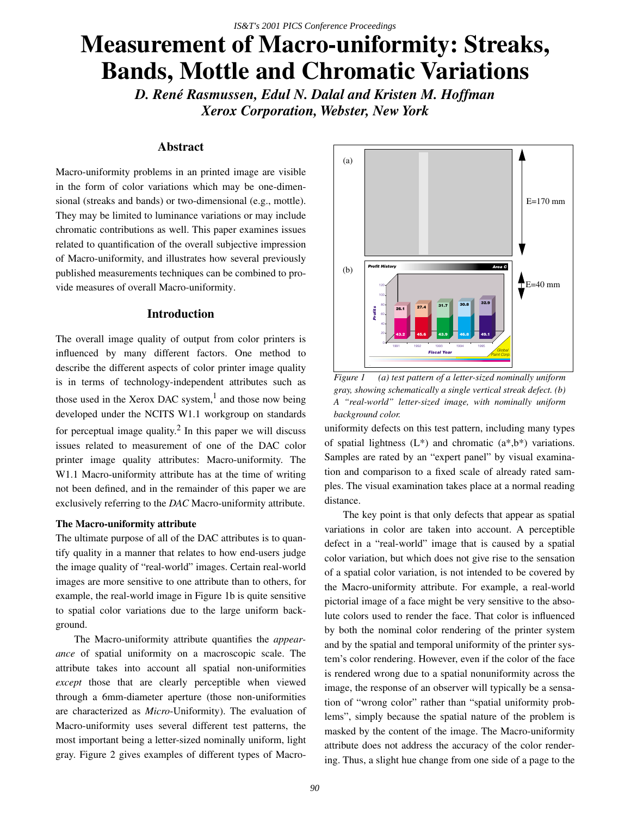# **Measurement of Macro-uniformity: Streaks, Bands, Mottle and Chromatic Variations**

*D. René Rasmussen, Edul N. Dalal and Kristen M. Hoffman Xerox Corporation, Webster, New York*

# **Abstract**

Macro-uniformity problems in an printed image are visible in the form of color variations which may be one-dimensional (streaks and bands) or two-dimensional (e.g., mottle). They may be limited to luminance variations or may include chromatic contributions as well. This paper examines issues related to quantification of the overall subjective impression of Macro-uniformity, and illustrates how several previously published measurements techniques can be combined to provide measures of overall Macro-uniformity.

## **Introduction**

The overall image quality of output from color printers is influenced by many different factors. One method to describe the different aspects of color printer image quality is in terms of technology-independent attributes such as those used in the Xerox DAC system, $<sup>1</sup>$  and those now being</sup> developed under the NCITS W1.1 workgroup on standards for perceptual image quality. $^{2}$  In this paper we will discuss issues related to measurement of one of the DAC color printer image quality attributes: Macro-uniformity. The W1.1 Macro-uniformity attribute has at the time of writing not been defined, and in the remainder of this paper we are exclusively referring to the *DAC* Macro-uniformity attribute.

#### **The Macro-uniformity attribute**

The ultimate purpose of all of the DAC attributes is to quantify quality in a manner that relates to how end-users judge the image quality of "real-world" images. Certain real-world images are more sensitive to one attribute than to others, for example, the real-world image in Figure 1b is quite sensitive to spatial color variations due to the large uniform background.

The Macro-uniformity attribute quantifies the *appearance* of spatial uniformity on a macroscopic scale. The attribute takes into account all spatial non-uniformities *except* those that are clearly perceptible when viewed through a 6mm-diameter aperture (those non-uniformities are characterized as *Micro*-Uniformity). The evaluation of Macro-uniformity uses several different test patterns, the most important being a letter-sized nominally uniform, light gray. Figure 2 gives examples of different types of Macro-



*Figure 1 (a) test pattern of a letter-sized nominally uniform gray, showing schematically a single vertical streak defect. (b) A "real-world" letter-sized image, with nominally uniform background color.*

uniformity defects on this test pattern, including many types of spatial lightness  $(L^*)$  and chromatic  $(a^*,b^*)$  variations. Samples are rated by an "expert panel" by visual examination and comparison to a fixed scale of already rated samples. The visual examination takes place at a normal reading distance.

The key point is that only defects that appear as spatial variations in color are taken into account. A perceptible defect in a "real-world" image that is caused by a spatial color variation, but which does not give rise to the sensation of a spatial color variation, is not intended to be covered by the Macro-uniformity attribute. For example, a real-world pictorial image of a face might be very sensitive to the absolute colors used to render the face. That color is influenced by both the nominal color rendering of the printer system and by the spatial and temporal uniformity of the printer system's color rendering. However, even if the color of the face is rendered wrong due to a spatial nonuniformity across the image, the response of an observer will typically be a sensation of "wrong color" rather than "spatial uniformity problems", simply because the spatial nature of the problem is masked by the content of the image. The Macro-uniformity attribute does not address the accuracy of the color rendering. Thus, a slight hue change from one side of a page to the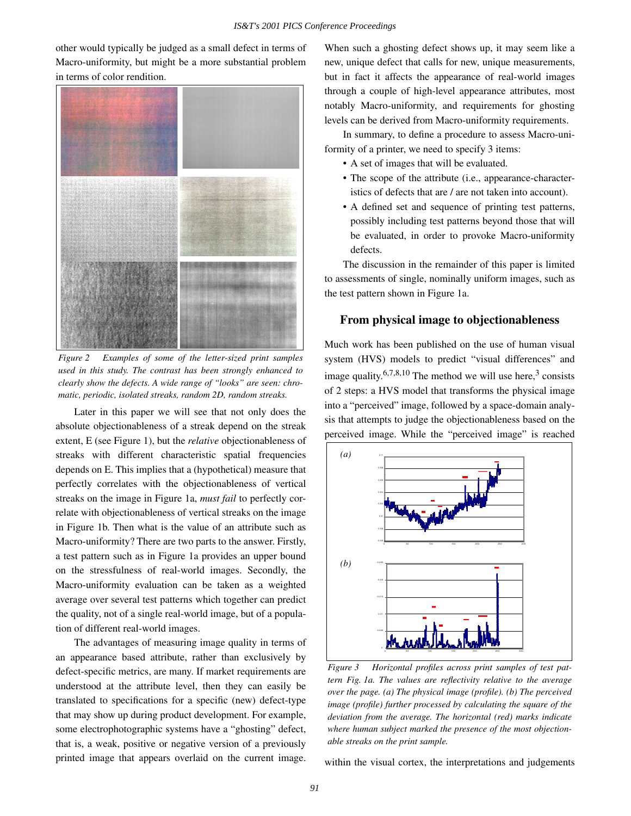other would typically be judged as a small defect in terms of Macro-uniformity, but might be a more substantial problem in terms of color rendition.



*Figure 2 Examples of some of the letter-sized print samples used in this study. The contrast has been strongly enhanced to clearly show the defects. A wide range of "looks" are seen: chromatic, periodic, isolated streaks, random 2D, random streaks.*

Later in this paper we will see that not only does the absolute objectionableness of a streak depend on the streak extent, E (see Figure 1), but the *relative* objectionableness of streaks with different characteristic spatial frequencies depends on E. This implies that a (hypothetical) measure that perfectly correlates with the objectionableness of vertical streaks on the image in Figure 1a, *must fail* to perfectly correlate with objectionableness of vertical streaks on the image in Figure 1b. Then what is the value of an attribute such as Macro-uniformity? There are two parts to the answer. Firstly, a test pattern such as in Figure 1a provides an upper bound on the stressfulness of real-world images. Secondly, the Macro-uniformity evaluation can be taken as a weighted average over several test patterns which together can predict the quality, not of a single real-world image, but of a population of different real-world images.

The advantages of measuring image quality in terms of an appearance based attribute, rather than exclusively by defect-specific metrics, are many. If market requirements are understood at the attribute level, then they can easily be translated to specifications for a specific (new) defect-type that may show up during product development. For example, some electrophotographic systems have a "ghosting" defect, that is, a weak, positive or negative version of a previously printed image that appears overlaid on the current image. When such a ghosting defect shows up, it may seem like a new, unique defect that calls for new, unique measurements, but in fact it affects the appearance of real-world images through a couple of high-level appearance attributes, most notably Macro-uniformity, and requirements for ghosting levels can be derived from Macro-uniformity requirements.

In summary, to define a procedure to assess Macro-uniformity of a printer, we need to specify 3 items:

- A set of images that will be evaluated.
- The scope of the attribute (i.e., appearance-characteristics of defects that are / are not taken into account).
- A defined set and sequence of printing test patterns, possibly including test patterns beyond those that will be evaluated, in order to provoke Macro-uniformity defects.

The discussion in the remainder of this paper is limited to assessments of single, nominally uniform images, such as the test pattern shown in Figure 1a.

## **From physical image to objectionableness**

Much work has been published on the use of human visual system (HVS) models to predict "visual differences" and image quality.<sup>6,7,8,10</sup> The method we will use here,<sup>3</sup> consists of 2 steps: a HVS model that transforms the physical image into a "perceived" image, followed by a space-domain analysis that attempts to judge the objectionableness based on the perceived image. While the "perceived image" is reached



*Figure 3 Horizontal profiles across print samples of test pattern Fig. 1a. The values are reflectivity relative to the average over the page. (a) The physical image (profile). (b) The perceived image (profile) further processed by calculating the square of the deviation from the average. The horizontal (red) marks indicate where human subject marked the presence of the most objectionable streaks on the print sample.*

within the visual cortex, the interpretations and judgements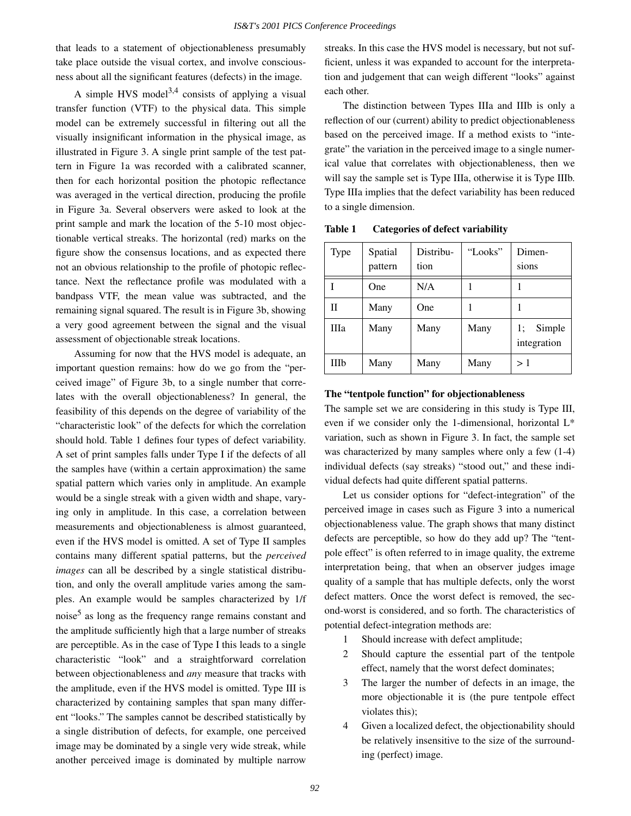that leads to a statement of objectionableness presumably take place outside the visual cortex, and involve consciousness about all the significant features (defects) in the image.

A simple HVS model<sup>3,4</sup> consists of applying a visual transfer function (VTF) to the physical data. This simple model can be extremely successful in filtering out all the visually insignificant information in the physical image, as illustrated in Figure 3. A single print sample of the test pattern in Figure 1a was recorded with a calibrated scanner, then for each horizontal position the photopic reflectance was averaged in the vertical direction, producing the profile in Figure 3a. Several observers were asked to look at the print sample and mark the location of the 5-10 most objectionable vertical streaks. The horizontal (red) marks on the figure show the consensus locations, and as expected there not an obvious relationship to the profile of photopic reflectance. Next the reflectance profile was modulated with a bandpass VTF, the mean value was subtracted, and the remaining signal squared. The result is in Figure 3b, showing a very good agreement between the signal and the visual assessment of objectionable streak locations.

Assuming for now that the HVS model is adequate, an important question remains: how do we go from the "perceived image" of Figure 3b, to a single number that correlates with the overall objectionableness? In general, the feasibility of this depends on the degree of variability of the "characteristic look" of the defects for which the correlation should hold. Table 1 defines four types of defect variability. A set of print samples falls under Type I if the defects of all the samples have (within a certain approximation) the same spatial pattern which varies only in amplitude. An example would be a single streak with a given width and shape, varying only in amplitude. In this case, a correlation between measurements and objectionableness is almost guaranteed, even if the HVS model is omitted. A set of Type II samples contains many different spatial patterns, but the *perceived images* can all be described by a single statistical distribution, and only the overall amplitude varies among the samples. An example would be samples characterized by 1/f noise<sup>5</sup> as long as the frequency range remains constant and the amplitude sufficiently high that a large number of streaks are perceptible. As in the case of Type I this leads to a single characteristic "look" and a straightforward correlation between objectionableness and *any* measure that tracks with the amplitude, even if the HVS model is omitted. Type III is characterized by containing samples that span many different "looks." The samples cannot be described statistically by a single distribution of defects, for example, one perceived image may be dominated by a single very wide streak, while another perceived image is dominated by multiple narrow streaks. In this case the HVS model is necessary, but not sufficient, unless it was expanded to account for the interpretation and judgement that can weigh different "looks" against each other.

The distinction between Types IIIa and IIIb is only a reflection of our (current) ability to predict objectionableness based on the perceived image. If a method exists to "integrate" the variation in the perceived image to a single numerical value that correlates with objectionableness, then we will say the sample set is Type IIIa, otherwise it is Type IIIb. Type IIIa implies that the defect variability has been reduced to a single dimension.

| <b>Type</b> | Spatial<br>pattern | Distribu-<br>tion | "Looks" | Dimen-<br>sions             |
|-------------|--------------------|-------------------|---------|-----------------------------|
|             | One                | N/A               |         |                             |
| П           | Many               | One               |         |                             |
| IIIa        | Many               | Many              | Many    | Simple<br>1;<br>integration |
| <b>IIIb</b> | Many               | Many              | Many    | >1                          |

**Table 1 Categories of defect variability**

#### **The "tentpole function" for objectionableness**

The sample set we are considering in this study is Type III, even if we consider only the 1-dimensional, horizontal L\* variation, such as shown in Figure 3. In fact, the sample set was characterized by many samples where only a few (1-4) individual defects (say streaks) "stood out," and these individual defects had quite different spatial patterns.

Let us consider options for "defect-integration" of the perceived image in cases such as Figure 3 into a numerical objectionableness value. The graph shows that many distinct defects are perceptible, so how do they add up? The "tentpole effect" is often referred to in image quality, the extreme interpretation being, that when an observer judges image quality of a sample that has multiple defects, only the worst defect matters. Once the worst defect is removed, the second-worst is considered, and so forth. The characteristics of potential defect-integration methods are:

- 1 Should increase with defect amplitude;
- 2 Should capture the essential part of the tentpole effect, namely that the worst defect dominates;
- 3 The larger the number of defects in an image, the more objectionable it is (the pure tentpole effect violates this);
- 4 Given a localized defect, the objectionability should be relatively insensitive to the size of the surrounding (perfect) image.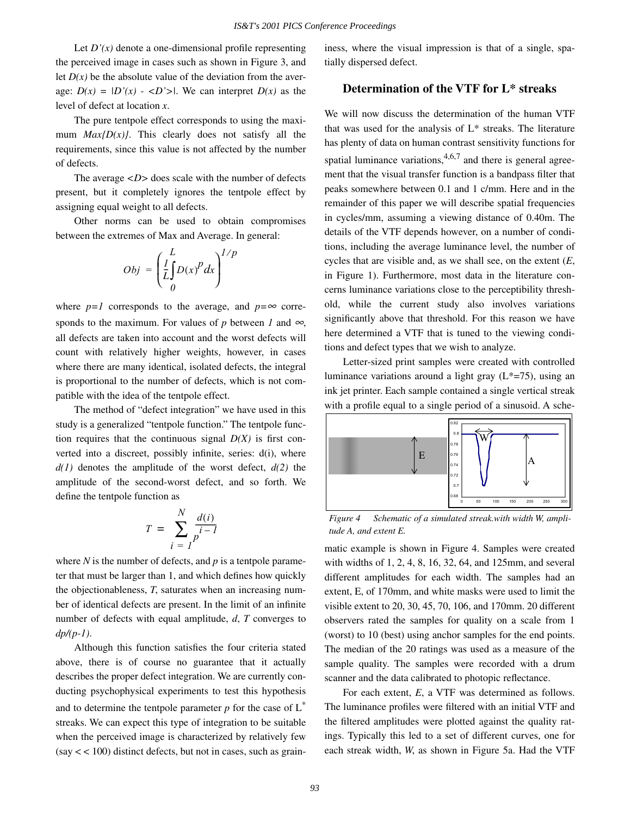Let  $D'(x)$  denote a one-dimensional profile representing the perceived image in cases such as shown in Figure 3, and let  $D(x)$  be the absolute value of the deviation from the average:  $D(x) = |D'(x) - \langle D' \rangle|$ . We can interpret  $D(x)$  as the level of defect at location *x*.

The pure tentpole effect corresponds to using the maximum  $Max\{D(x)\}\$ . This clearly does not satisfy all the requirements, since this value is not affected by the number of defects.

The average  $\langle D \rangle$  does scale with the number of defects present, but it completely ignores the tentpole effect by assigning equal weight to all defects.

Other norms can be used to obtain compromises between the extremes of Max and Average. In general:

$$
Obj = \left(\frac{L}{L} \int_{0}^{L} D(x)^{p} dx\right)^{1/p}
$$

where  $p=1$  corresponds to the average, and  $p=\infty$  corresponds to the maximum. For values of *p* between *1* and  $\infty$ , all defects are taken into account and the worst defects will count with relatively higher weights, however, in cases where there are many identical, isolated defects, the integral is proportional to the number of defects, which is not compatible with the idea of the tentpole effect.

The method of "defect integration" we have used in this study is a generalized "tentpole function." The tentpole function requires that the continuous signal  $D(X)$  is first converted into a discreet, possibly infinite, series: d(i), where *d(1)* denotes the amplitude of the worst defect, *d(2)* the amplitude of the second-worst defect, and so forth. We define the tentpole function as

$$
T = \sum_{i=1}^{N} \frac{d(i)}{p^{i-1}}
$$

where *N* is the number of defects, and *p* is a tentpole parameter that must be larger than 1, and which defines how quickly the objectionableness, *T*, saturates when an increasing number of identical defects are present. In the limit of an infinite number of defects with equal amplitude, *d*, *T* converges to *dp/(p-1)*.

Although this function satisfies the four criteria stated above, there is of course no guarantee that it actually describes the proper defect integration. We are currently conducting psychophysical experiments to test this hypothesis and to determine the tentpole parameter  $p$  for the case of  $L^*$ streaks. We can expect this type of integration to be suitable when the perceived image is characterized by relatively few  $(say < 100)$  distinct defects, but not in cases, such as graininess, where the visual impression is that of a single, spatially dispersed defect.

# **Determination of the VTF for L\* streaks**

We will now discuss the determination of the human VTF that was used for the analysis of L\* streaks. The literature has plenty of data on human contrast sensitivity functions for spatial luminance variations,  $4,6,7$  and there is general agreement that the visual transfer function is a bandpass filter that peaks somewhere between 0.1 and 1 c/mm. Here and in the remainder of this paper we will describe spatial frequencies in cycles/mm, assuming a viewing distance of 0.40m. The details of the VTF depends however, on a number of conditions, including the average luminance level, the number of cycles that are visible and, as we shall see, on the extent (*E*, in Figure 1). Furthermore, most data in the literature concerns luminance variations close to the perceptibility threshold, while the current study also involves variations significantly above that threshold. For this reason we have here determined a VTF that is tuned to the viewing conditions and defect types that we wish to analyze.

Letter-sized print samples were created with controlled luminance variations around a light gray  $(L*-75)$ , using an ink jet printer. Each sample contained a single vertical streak with a profile equal to a single period of a sinusoid. A sche-



Figure 4 Schematic of a simulated streak.with width W, ampli*tude A, and extent E.*

matic example is shown in Figure 4. Samples were created with widths of 1, 2, 4, 8, 16, 32, 64, and 125mm, and several different amplitudes for each width. The samples had an extent, E, of 170mm, and white masks were used to limit the visible extent to 20, 30, 45, 70, 106, and 170mm. 20 different observers rated the samples for quality on a scale from 1 (worst) to 10 (best) using anchor samples for the end points. The median of the 20 ratings was used as a measure of the sample quality. The samples were recorded with a drum scanner and the data calibrated to photopic reflectance.

For each extent, *E*, a VTF was determined as follows. The luminance profiles were filtered with an initial VTF and the filtered amplitudes were plotted against the quality ratings. Typically this led to a set of different curves, one for each streak width, *W*, as shown in Figure 5a. Had the VTF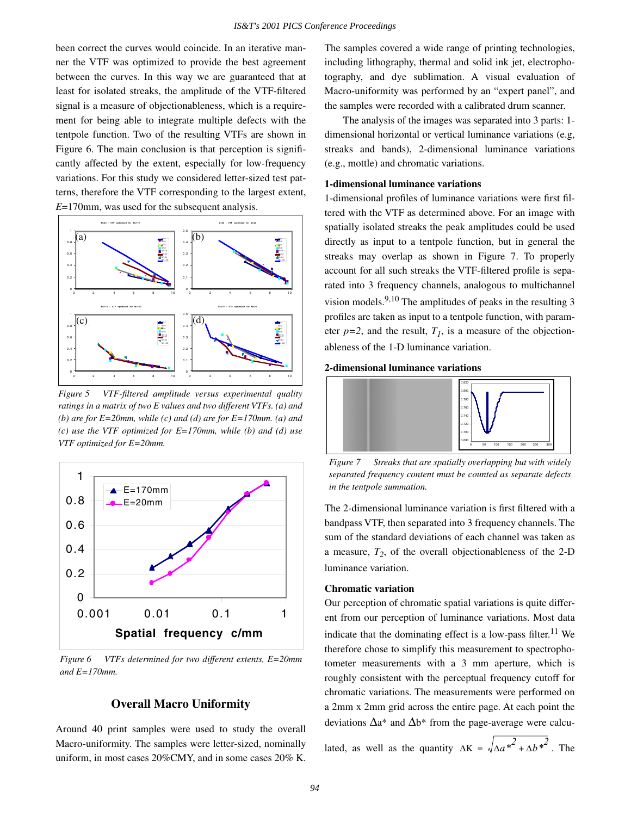been correct the curves would coincide. In an iterative manner the VTF was optimized to provide the best agreement between the curves. In this way we are guaranteed that at least for isolated streaks, the amplitude of the VTF-filtered signal is a measure of objectionableness, which is a requirement for being able to integrate multiple defects with the tentpole function. Two of the resulting VTFs are shown in Figure 6. The main conclusion is that perception is significantly affected by the extent, especially for low-frequency variations. For this study we considered letter-sized test patterns, therefore the VTF corresponding to the largest extent, *E*=170mm, was used for the subsequent analysis.



*Figure 5 VTF-filtered amplitude versus experimental quality ratings in a matrix of two E values and two different VTFs. (a) and (b) are for E=20mm, while (c) and (d) are for E=170mm. (a) and (c) use the VTF optimized for E=170mm, while (b) and (d) use VTF optimized for E=20mm.*



*Figure 6 VTFs determined for two different extents, E=20mm and E=170mm.*

# **Overall Macro Uniformity**

Around 40 print samples were used to study the overall Macro-uniformity. The samples were letter-sized, nominally uniform, in most cases 20%CMY, and in some cases 20% K. The samples covered a wide range of printing technologies, including lithography, thermal and solid ink jet, electrophotography, and dye sublimation. A visual evaluation of Macro-uniformity was performed by an "expert panel", and the samples were recorded with a calibrated drum scanner.

The analysis of the images was separated into 3 parts: 1 dimensional horizontal or vertical luminance variations (e.g, streaks and bands), 2-dimensional luminance variations (e.g., mottle) and chromatic variations.

#### **1-dimensional luminance variations**

1-dimensional profiles of luminance variations were first filtered with the VTF as determined above. For an image with spatially isolated streaks the peak amplitudes could be used directly as input to a tentpole function, but in general the streaks may overlap as shown in Figure 7. To properly account for all such streaks the VTF-filtered profile is separated into 3 frequency channels, analogous to multichannel vision models.  $9,10$  The amplitudes of peaks in the resulting 3 profiles are taken as input to a tentpole function, with parameter  $p=2$ , and the result,  $T<sub>1</sub>$ , is a measure of the objectionableness of the 1-D luminance variation.

#### **2-dimensional luminance variations**



*Figure 7 Streaks that are spatially overlapping but with widely separated frequency content must be counted as separate defects in the tentpole summation.*

The 2-dimensional luminance variation is first filtered with a bandpass VTF, then separated into 3 frequency channels. The sum of the standard deviations of each channel was taken as a measure, *T2*, of the overall objectionableness of the 2-D luminance variation.

#### **Chromatic variation**

Our perception of chromatic spatial variations is quite different from our perception of luminance variations. Most data indicate that the dominating effect is a low-pass filter.<sup>11</sup> We therefore chose to simplify this measurement to spectrophotometer measurements with a 3 mm aperture, which is roughly consistent with the perceptual frequency cutoff for chromatic variations. The measurements were performed on a 2mm x 2mm grid across the entire page. At each point the deviations  $\Delta a^*$  and  $\Delta b^*$  from the page-average were calcu-

lated, as well as the quantity  $\Delta K = \sqrt{\Delta a^*^2 + \Delta b^*^2}$ . The